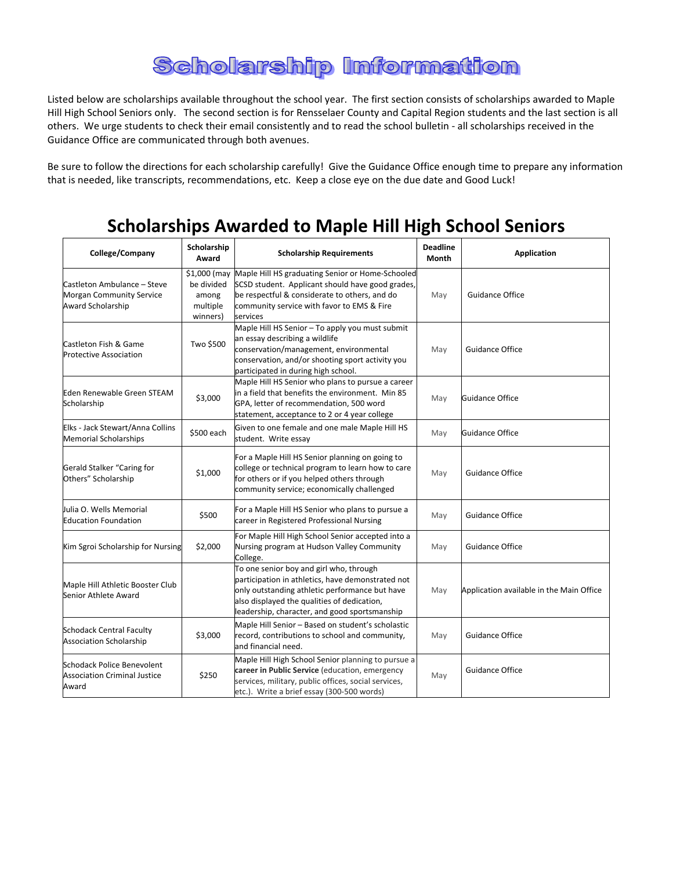## **Scholarship Information**

Listed below are scholarships available throughout the school year. The first section consists of scholarships awarded to Maple Hill High School Seniors only. The second section is for Rensselaer County and Capital Region students and the last section is all others. We urge students to check their email consistently and to read the school bulletin - all scholarships received in the Guidance Office are communicated through both avenues.

Be sure to follow the directions for each scholarship carefully! Give the Guidance Office enough time to prepare any information that is needed, like transcripts, recommendations, etc. Keep a close eye on the due date and Good Luck!

## **Scholarships Awarded to Maple Hill High School Seniors**

| College/Company                                                                            | Scholarship<br>Award                        | <b>Scholarship Requirements</b>                                                                                                                                                                                                                | <b>Deadline</b><br>Month | Application                              |
|--------------------------------------------------------------------------------------------|---------------------------------------------|------------------------------------------------------------------------------------------------------------------------------------------------------------------------------------------------------------------------------------------------|--------------------------|------------------------------------------|
| Castleton Ambulance - Steve<br><b>Morgan Community Service</b><br><b>Award Scholarship</b> | be divided<br>among<br>multiple<br>winners) | \$1,000 (may Maple Hill HS graduating Senior or Home-Schooled<br>SCSD student. Applicant should have good grades,<br>be respectful & considerate to others, and do<br>community service with favor to EMS & Fire<br>services                   | May                      | <b>Guidance Office</b>                   |
| Castleton Fish & Game<br><b>Protective Association</b>                                     | Two \$500                                   | Maple Hill HS Senior - To apply you must submit<br>an essay describing a wildlife<br>conservation/management, environmental<br>conservation, and/or shooting sport activity you<br>participated in during high school.                         | May                      | <b>Guidance Office</b>                   |
| Eden Renewable Green STEAM<br>Scholarship                                                  | \$3,000                                     | Maple Hill HS Senior who plans to pursue a career<br>in a field that benefits the environment. Min 85<br>GPA, letter of recommendation, 500 word<br>statement, acceptance to 2 or 4 year college                                               | May                      | <b>Guidance Office</b>                   |
| Elks - Jack Stewart/Anna Collins<br><b>Memorial Scholarships</b>                           | \$500 each                                  | Given to one female and one male Maple Hill HS<br>student. Write essay                                                                                                                                                                         | May                      | <b>Guidance Office</b>                   |
| Gerald Stalker "Caring for<br>Others" Scholarship                                          | \$1,000                                     | For a Maple Hill HS Senior planning on going to<br>college or technical program to learn how to care<br>for others or if you helped others through<br>community service; economically challenged                                               | May                      | <b>Guidance Office</b>                   |
| Julia O. Wells Memorial<br><b>Education Foundation</b>                                     | \$500                                       | For a Maple Hill HS Senior who plans to pursue a<br>career in Registered Professional Nursing                                                                                                                                                  | May                      | <b>Guidance Office</b>                   |
| Kim Sgroi Scholarship for Nursing                                                          | \$2,000                                     | For Maple Hill High School Senior accepted into a<br>Nursing program at Hudson Valley Community<br>College.                                                                                                                                    | May                      | <b>Guidance Office</b>                   |
| Maple Hill Athletic Booster Club<br>Senior Athlete Award                                   |                                             | To one senior boy and girl who, through<br>participation in athletics, have demonstrated not<br>only outstanding athletic performance but have<br>also displayed the qualities of dedication,<br>leadership, character, and good sportsmanship | May                      | Application available in the Main Office |
| <b>Schodack Central Faculty</b><br><b>Association Scholarship</b>                          | \$3,000                                     | Maple Hill Senior - Based on student's scholastic<br>record, contributions to school and community,<br>and financial need.                                                                                                                     | May                      | <b>Guidance Office</b>                   |
| Schodack Police Benevolent<br><b>Association Criminal Justice</b><br>Award                 | \$250                                       | Maple Hill High School Senior planning to pursue a<br>career in Public Service (education, emergency<br>services, military, public offices, social services,<br>etc.). Write a brief essay (300-500 words)                                     | May                      | <b>Guidance Office</b>                   |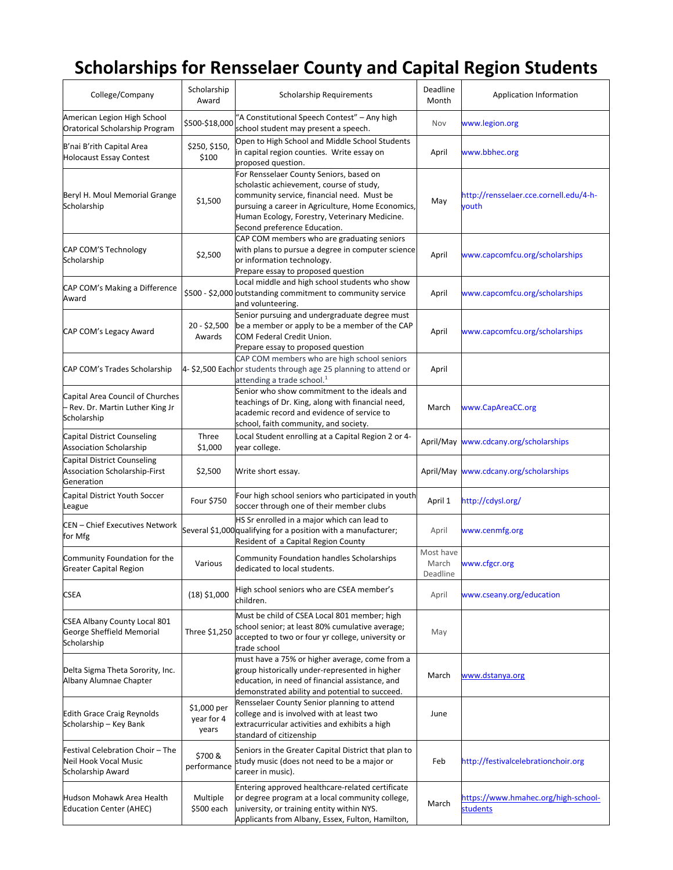## **Scholarships for Rensselaer County and Capital Region Students**

| College/Company                                                                     | Scholarship<br>Award               | Scholarship Requirements                                                                                                                                                                                                                                                | Deadline<br>Month              | Application Information                         |
|-------------------------------------------------------------------------------------|------------------------------------|-------------------------------------------------------------------------------------------------------------------------------------------------------------------------------------------------------------------------------------------------------------------------|--------------------------------|-------------------------------------------------|
| American Legion High School<br>Oratorical Scholarship Program                       | \$500-\$18,000                     | "A Constitutional Speech Contest" - Any high<br>school student may present a speech.                                                                                                                                                                                    | Nov                            | www.legion.org                                  |
| B'nai B'rith Capital Area<br><b>Holocaust Essay Contest</b>                         | \$250, \$150,<br>\$100             | Open to High School and Middle School Students<br>in capital region counties. Write essay on<br>proposed question.                                                                                                                                                      | April                          | www.bbhec.org                                   |
| Beryl H. Moul Memorial Grange<br>Scholarship                                        | \$1,500                            | For Rensselaer County Seniors, based on<br>scholastic achievement, course of study,<br>community service, financial need. Must be<br>pursuing a career in Agriculture, Home Economics,<br>Human Ecology, Forestry, Veterinary Medicine.<br>Second preference Education. | May                            | http://rensselaer.cce.cornell.edu/4-h-<br>vouth |
| CAP COM'S Technology<br>Scholarship                                                 | \$2,500                            | CAP COM members who are graduating seniors<br>with plans to pursue a degree in computer science<br>or information technology.<br>Prepare essay to proposed question                                                                                                     | April                          | www.capcomfcu.org/scholarships                  |
| CAP COM's Making a Difference<br>Award                                              |                                    | Local middle and high school students who show<br>\$500 - \$2,000 outstanding commitment to community service<br>and volunteering.                                                                                                                                      | April                          | www.capcomfcu.org/scholarships                  |
| CAP COM's Legacy Award                                                              | $20 - $2,500$<br>Awards            | Senior pursuing and undergraduate degree must<br>be a member or apply to be a member of the CAP<br>COM Federal Credit Union.<br>Prepare essay to proposed question                                                                                                      | April                          | www.capcomfcu.org/scholarships                  |
| CAP COM's Trades Scholarship                                                        |                                    | CAP COM members who are high school seniors<br>4-\$2,500 Eachor students through age 25 planning to attend or<br>attending a trade school. $1$                                                                                                                          | April                          |                                                 |
| Capital Area Council of Churches<br>- Rev. Dr. Martin Luther King Jr<br>Scholarship |                                    | Senior who show commitment to the ideals and<br>teachings of Dr. King, along with financial need,<br>academic record and evidence of service to<br>school, faith community, and society.                                                                                | March                          | www.CapAreaCC.org                               |
| Capital District Counseling<br><b>Association Scholarship</b>                       | Three<br>\$1,000                   | Local Student enrolling at a Capital Region 2 or 4-<br>year college.                                                                                                                                                                                                    |                                | April/May www.cdcany.org/scholarships           |
| Capital District Counseling<br>Association Scholarship-First<br>Generation          | \$2,500                            | Write short essay.                                                                                                                                                                                                                                                      | April/May                      | www.cdcany.org/scholarships                     |
| Capital District Youth Soccer<br>League                                             | Four \$750                         | Four high school seniors who participated in youth<br>soccer through one of their member clubs                                                                                                                                                                          | April 1                        | http://cdysl.org/                               |
| <b>CEN</b> – Chief Executives Network<br>for Mfg                                    |                                    | HS Sr enrolled in a major which can lead to<br>Several \$1,000 qualifying for a position with a manufacturer;<br>Resident of a Capital Region County                                                                                                                    | April                          | www.cenmfg.org                                  |
| Community Foundation for the<br><b>Greater Capital Region</b>                       | Various                            | <b>Community Foundation handles Scholarships</b><br>dedicated to local students.                                                                                                                                                                                        | Most have<br>March<br>Deadline | www.cfgcr.org                                   |
| <b>CSEA</b>                                                                         | $(18)$ \$1,000                     | High school seniors who are CSEA member's<br>children.                                                                                                                                                                                                                  | April                          | www.cseany.org/education                        |
| CSEA Albany County Local 801<br>George Sheffield Memorial<br>Scholarship            | Three \$1,250                      | Must be child of CSEA Local 801 member; high<br>school senior; at least 80% cumulative average;<br>accepted to two or four yr college, university or<br>trade school                                                                                                    | May                            |                                                 |
| Delta Sigma Theta Sorority, Inc.<br>Albany Alumnae Chapter                          |                                    | must have a 75% or higher average, come from a<br>group historically under-represented in higher<br>education, in need of financial assistance, and<br>demonstrated ability and potential to succeed.                                                                   | March                          | www.dstanya.org                                 |
| <b>Edith Grace Craig Reynolds</b><br>Scholarship - Key Bank                         | \$1,000 per<br>year for 4<br>years | Rensselaer County Senior planning to attend<br>college and is involved with at least two<br>extracurricular activities and exhibits a high<br>standard of citizenship                                                                                                   | June                           |                                                 |
| Festival Celebration Choir - The<br>Neil Hook Vocal Music<br>Scholarship Award      | \$700 &<br>performance             | Seniors in the Greater Capital District that plan to<br>study music (does not need to be a major or<br>career in music).                                                                                                                                                | Feb                            | http://festivalcelebrationchoir.org             |
| Hudson Mohawk Area Health<br><b>Education Center (AHEC)</b>                         | Multiple<br>\$500 each             | Entering approved healthcare-related certificate<br>or degree program at a local community college,<br>university, or training entity within NYS.<br>Applicants from Albany, Essex, Fulton, Hamilton,                                                                   | March                          | https://www.hmahec.org/high-school-<br>students |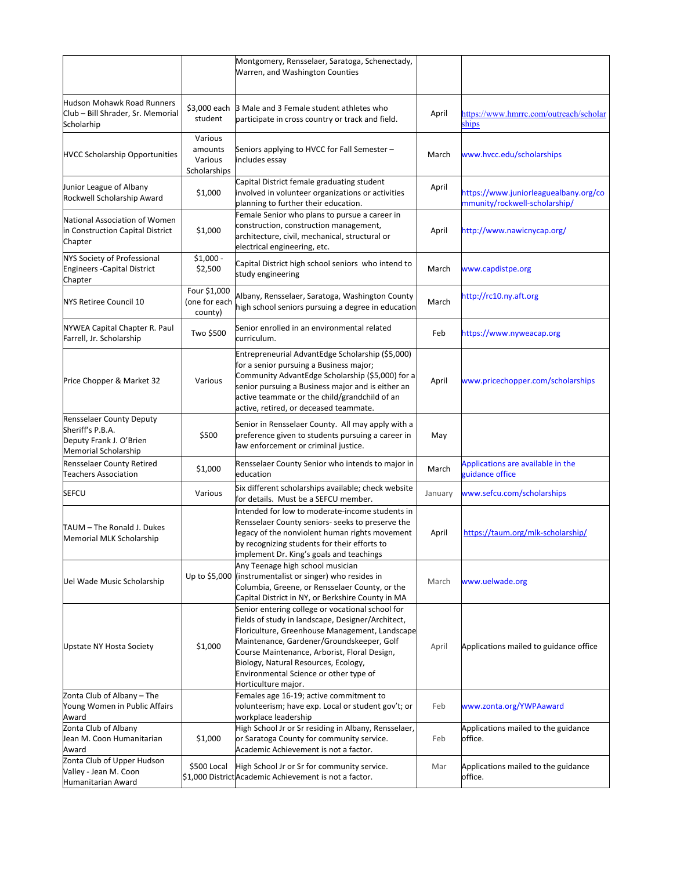|                                                                                                               |                                               | Montgomery, Rensselaer, Saratoga, Schenectady,<br>Warren, and Washington Counties                                                                                                                                                                                                                                                                             |         |                                                                        |
|---------------------------------------------------------------------------------------------------------------|-----------------------------------------------|---------------------------------------------------------------------------------------------------------------------------------------------------------------------------------------------------------------------------------------------------------------------------------------------------------------------------------------------------------------|---------|------------------------------------------------------------------------|
| Hudson Mohawk Road Runners<br>Club - Bill Shrader, Sr. Memorial<br>Scholarhip                                 | \$3,000 each<br>student                       | 3 Male and 3 Female student athletes who<br>participate in cross country or track and field.                                                                                                                                                                                                                                                                  | April   | https://www.hmrrc.com/outreach/scholar<br>ships                        |
| <b>HVCC Scholarship Opportunities</b>                                                                         | Various<br>amounts<br>Various<br>Scholarships | Seniors applying to HVCC for Fall Semester -<br>includes essay                                                                                                                                                                                                                                                                                                | March   | www.hvcc.edu/scholarships                                              |
| Junior League of Albany<br>Rockwell Scholarship Award                                                         | \$1,000                                       | Capital District female graduating student<br>involved in volunteer organizations or activities<br>planning to further their education.                                                                                                                                                                                                                       | April   | https://www.juniorleaguealbany.org/co<br>mmunity/rockwell-scholarship/ |
| National Association of Women<br>in Construction Capital District<br>Chapter                                  | \$1,000                                       | Female Senior who plans to pursue a career in<br>construction, construction management,<br>architecture, civil, mechanical, structural or<br>electrical engineering, etc.                                                                                                                                                                                     | April   | http://www.nawicnycap.org/                                             |
| <b>NYS Society of Professional</b><br><b>Engineers - Capital District</b><br>Chapter                          | $$1,000 -$<br>\$2,500                         | Capital District high school seniors who intend to<br>study engineering                                                                                                                                                                                                                                                                                       | March   | www.capdistpe.org                                                      |
| <b>NYS Retiree Council 10</b>                                                                                 | Four \$1,000<br>(one for each<br>county)      | Albany, Rensselaer, Saratoga, Washington County<br>high school seniors pursuing a degree in education                                                                                                                                                                                                                                                         | March   | http://rc10.ny.aft.org                                                 |
| NYWEA Capital Chapter R. Paul<br>Farrell, Jr. Scholarship                                                     | Two \$500                                     | Senior enrolled in an environmental related<br>curriculum.                                                                                                                                                                                                                                                                                                    | Feb     | https://www.nyweacap.org                                               |
| Price Chopper & Market 32                                                                                     | Various                                       | Entrepreneurial AdvantEdge Scholarship (\$5,000)<br>for a senior pursuing a Business major;<br>Community AdvantEdge Scholarship (\$5,000) for a<br>senior pursuing a Business major and is either an<br>active teammate or the child/grandchild of an<br>active, retired, or deceased teammate.                                                               | April   | www.pricechopper.com/scholarships                                      |
| <b>Rensselaer County Deputy</b><br>Sheriff's P.B.A.<br>Deputy Frank J. O'Brien<br><b>Memorial Scholarship</b> | \$500                                         | Senior in Rensselaer County. All may apply with a<br>preference given to students pursuing a career in<br>law enforcement or criminal justice.                                                                                                                                                                                                                | May     |                                                                        |
| Rensselaer County Retired<br><b>Teachers Association</b>                                                      | \$1,000                                       | Rensselaer County Senior who intends to major in<br>education                                                                                                                                                                                                                                                                                                 | March   | Applications are available in the<br>guidance office                   |
| SEFCU                                                                                                         | Various                                       | Six different scholarships available; check website<br>for details. Must be a SEFCU member.                                                                                                                                                                                                                                                                   | January | www.sefcu.com/scholarships                                             |
| TAUM - The Ronald J. Dukes<br>Memorial MLK Scholarship                                                        |                                               | Intended for low to moderate-income students in<br>Rensselaer County seniors- seeks to preserve the<br>legacy of the nonviolent human rights movement<br>by recognizing students for their efforts to<br>implement Dr. King's goals and teachings                                                                                                             | April   | https://taum.org/mlk-scholarship/                                      |
| Uel Wade Music Scholarship                                                                                    |                                               | Any Teenage high school musician<br>Up to \$5,000 (instrumentalist or singer) who resides in<br>Columbia, Greene, or Rensselaer County, or the<br>Capital District in NY, or Berkshire County in MA                                                                                                                                                           | March   | www.uelwade.org                                                        |
| Upstate NY Hosta Society                                                                                      | \$1,000                                       | Senior entering college or vocational school for<br>fields of study in landscape, Designer/Architect,<br>Floriculture, Greenhouse Management, Landscape<br>Maintenance, Gardener/Groundskeeper, Golf<br>Course Maintenance, Arborist, Floral Design,<br>Biology, Natural Resources, Ecology,<br>Environmental Science or other type of<br>Horticulture major. | April   | Applications mailed to guidance office                                 |
| Zonta Club of Albany - The<br>Young Women in Public Affairs<br>Award                                          |                                               | Females age 16-19; active commitment to<br>volunteerism; have exp. Local or student gov't; or<br>workplace leadership                                                                                                                                                                                                                                         | Feb     | www.zonta.org/YWPAaward                                                |
| Zonta Club of Albany<br>Jean M. Coon Humanitarian<br>Award                                                    | \$1,000                                       | High School Jr or Sr residing in Albany, Rensselaer,<br>or Saratoga County for community service.<br>Academic Achievement is not a factor.                                                                                                                                                                                                                    | Feb     | Applications mailed to the guidance<br>office.                         |
| Zonta Club of Upper Hudson<br>Valley - Jean M. Coon<br>Humanitarian Award                                     | \$500 Local                                   | High School Jr or Sr for community service.<br>\$1,000 DistrictAcademic Achievement is not a factor.                                                                                                                                                                                                                                                          | Mar     | Applications mailed to the guidance<br>office.                         |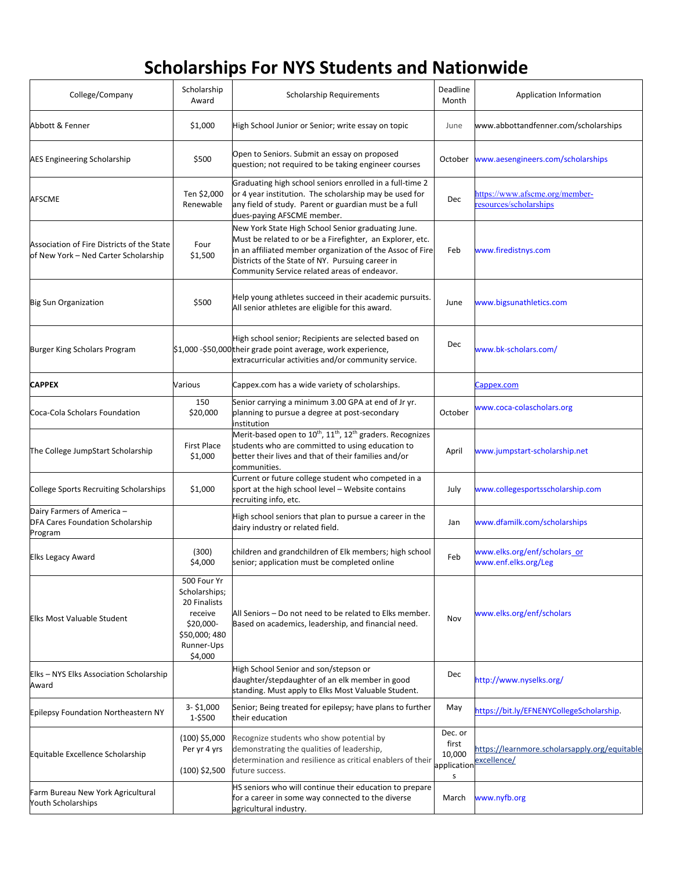## **Scholarships For NYS Students and Nationwide**

| College/Company                                                                    | Scholarship<br>Award                                                                                           | <b>Scholarship Requirements</b>                                                                                                                                                                                                                                                  | Deadline<br>Month                              | <b>Application Information</b>                               |
|------------------------------------------------------------------------------------|----------------------------------------------------------------------------------------------------------------|----------------------------------------------------------------------------------------------------------------------------------------------------------------------------------------------------------------------------------------------------------------------------------|------------------------------------------------|--------------------------------------------------------------|
| Abbott & Fenner                                                                    | \$1,000                                                                                                        | High School Junior or Senior; write essay on topic                                                                                                                                                                                                                               | June                                           | www.abbottandfenner.com/scholarships                         |
| AES Engineering Scholarship                                                        | \$500                                                                                                          | Open to Seniors. Submit an essay on proposed<br>question; not required to be taking engineer courses                                                                                                                                                                             | October                                        | www.aesengineers.com/scholarships                            |
| AFSCME                                                                             | Ten \$2,000<br>Renewable                                                                                       | Graduating high school seniors enrolled in a full-time 2<br>or 4 year institution. The scholarship may be used for<br>any field of study. Parent or guardian must be a full<br>dues-paying AFSCME member.                                                                        | Dec                                            | https://www.afscme.org/member-<br>esources/scholarships      |
| Association of Fire Districts of the State<br>of New York - Ned Carter Scholarship | Four<br>\$1,500                                                                                                | New York State High School Senior graduating June.<br>Must be related to or be a Firefighter, an Explorer, etc.<br>in an affiliated member organization of the Assoc of Fire<br>Districts of the State of NY. Pursuing career in<br>Community Service related areas of endeavor. | Feb                                            | www.firedistnys.com                                          |
| <b>Big Sun Organization</b>                                                        | \$500                                                                                                          | Help young athletes succeed in their academic pursuits.<br>All senior athletes are eligible for this award.                                                                                                                                                                      | June                                           | www.bigsunathletics.com                                      |
| Burger King Scholars Program                                                       |                                                                                                                | High school senior; Recipients are selected based on<br>\$1,000 -\$50,000 their grade point average, work experience,<br>extracurricular activities and/or community service.                                                                                                    | <b>Dec</b>                                     | www.bk-scholars.com/                                         |
| <b>CAPPEX</b>                                                                      | Various                                                                                                        | Cappex.com has a wide variety of scholarships.                                                                                                                                                                                                                                   |                                                | Cappex.com                                                   |
| Coca-Cola Scholars Foundation                                                      | 150<br>\$20,000                                                                                                | Senior carrying a minimum 3.00 GPA at end of Jr yr.<br>planning to pursue a degree at post-secondary<br>institution                                                                                                                                                              | October                                        | www.coca-colascholars.org                                    |
| The College JumpStart Scholarship                                                  | First Place<br>\$1,000                                                                                         | Merit-based open to 10 <sup>th</sup> , 11 <sup>th</sup> , 12 <sup>th</sup> graders. Recognizes<br>students who are committed to using education to<br>better their lives and that of their families and/or<br>communities.                                                       | April                                          | www.jumpstart-scholarship.net                                |
| College Sports Recruiting Scholarships                                             | \$1,000                                                                                                        | Current or future college student who competed in a<br>sport at the high school level - Website contains<br>recruiting info, etc.                                                                                                                                                | July                                           | www.collegesportsscholarship.com                             |
| Dairy Farmers of America -<br>DFA Cares Foundation Scholarship<br>Program          |                                                                                                                | High school seniors that plan to pursue a career in the<br>dairy industry or related field.                                                                                                                                                                                      | Jan                                            | www.dfamilk.com/scholarships                                 |
| <b>Elks Legacy Award</b>                                                           | (300)<br>\$4,000                                                                                               | children and grandchildren of Elk members; high school<br>senior; application must be completed online                                                                                                                                                                           | Feb                                            | www.elks.org/enf/scholars_or<br>www.enf.elks.org/Leg         |
| Elks Most Valuable Student                                                         | 500 Four Yr<br>Scholarships;<br>20 Finalists<br>receive<br>\$20.000-<br>\$50,000; 480<br>Runner-Ups<br>\$4,000 | All Seniors - Do not need to be related to Elks member.<br>Based on academics, leadership, and financial need.                                                                                                                                                                   | Nov                                            | www.elks.org/enf/scholars                                    |
| Elks - NYS Elks Association Scholarship<br>Award                                   |                                                                                                                | High School Senior and son/stepson or<br>daughter/stepdaughter of an elk member in good<br>standing. Must apply to Elks Most Valuable Student.                                                                                                                                   | Dec                                            | http://www.nyselks.org/                                      |
| Epilepsy Foundation Northeastern NY                                                | $3 - $1,000$<br>1-\$500                                                                                        | Senior; Being treated for epilepsy; have plans to further<br>their education                                                                                                                                                                                                     | May                                            | https://bit.ly/EFNENYCollegeScholarship.                     |
| Equitable Excellence Scholarship                                                   | $(100)$ \$5,000<br>Per yr 4 yrs<br>$(100)$ \$2,500                                                             | Recognize students who show potential by<br>demonstrating the qualities of leadership,<br>determination and resilience as critical enablers of their<br>future success.                                                                                                          | Dec. or<br>first<br>10,000<br>application<br>s | https://learnmore.scholarsapply.org/equitable<br>excellence/ |
| Farm Bureau New York Agricultural<br><b>Youth Scholarships</b>                     |                                                                                                                | HS seniors who will continue their education to prepare<br>for a career in some way connected to the diverse<br>agricultural industry.                                                                                                                                           | March                                          | www.nyfb.org                                                 |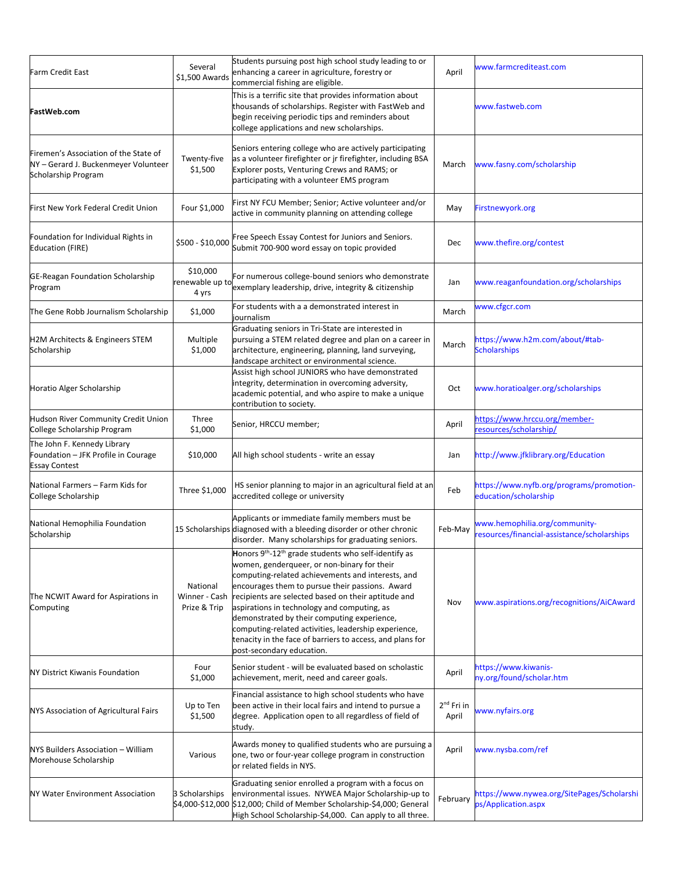| <b>Farm Credit East</b>                                                                            | Several<br>\$1,500 Awards                 | Students pursuing post high school study leading to or<br>enhancing a career in agriculture, forestry or<br>commercial fishing are eligible.                                                                                                                                                                                                                                                                                                                                                                                               | April                           | www.farmcrediteast.com                                                       |
|----------------------------------------------------------------------------------------------------|-------------------------------------------|--------------------------------------------------------------------------------------------------------------------------------------------------------------------------------------------------------------------------------------------------------------------------------------------------------------------------------------------------------------------------------------------------------------------------------------------------------------------------------------------------------------------------------------------|---------------------------------|------------------------------------------------------------------------------|
| FastWeb.com                                                                                        |                                           | This is a terrific site that provides information about<br>thousands of scholarships. Register with FastWeb and<br>begin receiving periodic tips and reminders about<br>college applications and new scholarships.                                                                                                                                                                                                                                                                                                                         |                                 | www.fastweb.com                                                              |
| Firemen's Association of the State of<br>NY-Gerard J. Buckenmeyer Volunteer<br>Scholarship Program | Twenty-five<br>\$1,500                    | Seniors entering college who are actively participating<br>as a volunteer firefighter or jr firefighter, including BSA<br>Explorer posts, Venturing Crews and RAMS; or<br>participating with a volunteer EMS program                                                                                                                                                                                                                                                                                                                       | March                           | www.fasny.com/scholarship                                                    |
| First New York Federal Credit Union                                                                | Four \$1,000                              | First NY FCU Member; Senior; Active volunteer and/or<br>active in community planning on attending college                                                                                                                                                                                                                                                                                                                                                                                                                                  | May                             | Firstnewyork.org                                                             |
| Foundation for Individual Rights in<br><b>Education (FIRE)</b>                                     | \$500 - \$10,000                          | Free Speech Essay Contest for Juniors and Seniors.<br>Submit 700-900 word essay on topic provided                                                                                                                                                                                                                                                                                                                                                                                                                                          | Dec                             | www.thefire.org/contest                                                      |
| GE-Reagan Foundation Scholarship<br>Program                                                        | \$10,000<br>renewable up to<br>4 yrs      | For numerous college-bound seniors who demonstrate<br>exemplary leadership, drive, integrity & citizenship                                                                                                                                                                                                                                                                                                                                                                                                                                 | Jan                             | www.reaganfoundation.org/scholarships                                        |
| The Gene Robb Journalism Scholarship                                                               | \$1,000                                   | For students with a a demonstrated interest in<br>journalism                                                                                                                                                                                                                                                                                                                                                                                                                                                                               | March                           | www.cfgcr.com                                                                |
| H2M Architects & Engineers STEM<br>Scholarship                                                     | Multiple<br>\$1,000                       | Graduating seniors in Tri-State are interested in<br>pursuing a STEM related degree and plan on a career in<br>architecture, engineering, planning, land surveying,<br>landscape architect or environmental science.                                                                                                                                                                                                                                                                                                                       | March                           | https://www.h2m.com/about/#tab-<br><b>Scholarships</b>                       |
| Horatio Alger Scholarship                                                                          |                                           | Assist high school JUNIORS who have demonstrated<br>integrity, determination in overcoming adversity,<br>academic potential, and who aspire to make a unique<br>contribution to society.                                                                                                                                                                                                                                                                                                                                                   | Oct                             | www.horatioalger.org/scholarships                                            |
| Hudson River Community Credit Union<br>College Scholarship Program                                 | Three<br>\$1,000                          | Senior, HRCCU member;                                                                                                                                                                                                                                                                                                                                                                                                                                                                                                                      | April                           | https://www.hrccu.org/member-<br>esources/scholarship/                       |
| The John F. Kennedy Library<br>Foundation - JFK Profile in Courage<br><b>Essay Contest</b>         | \$10,000                                  | All high school students - write an essay                                                                                                                                                                                                                                                                                                                                                                                                                                                                                                  | Jan                             | http://www.jfklibrary.org/Education                                          |
| National Farmers - Farm Kids for<br>College Scholarship                                            | Three \$1,000                             | HS senior planning to major in an agricultural field at an<br>accredited college or university                                                                                                                                                                                                                                                                                                                                                                                                                                             | Feb                             | https://www.nyfb.org/programs/promotion-<br>education/scholarship            |
| National Hemophilia Foundation<br>Scholarship                                                      |                                           | Applicants or immediate family members must be<br>15 Scholarships diagnosed with a bleeding disorder or other chronic<br>disorder. Many scholarships for graduating seniors.                                                                                                                                                                                                                                                                                                                                                               | Feb-May                         | www.hemophilia.org/community-<br>resources/financial-assistance/scholarships |
| The NCWIT Award for Aspirations in<br>Computing                                                    | National<br>Winner - Cash<br>Prize & Trip | Honors 9 <sup>th</sup> -12 <sup>th</sup> grade students who self-identify as<br>women, genderqueer, or non-binary for their<br>computing-related achievements and interests, and<br>encourages them to pursue their passions. Award<br>recipients are selected based on their aptitude and<br>aspirations in technology and computing, as<br>demonstrated by their computing experience,<br>computing-related activities, leadership experience,<br>tenacity in the face of barriers to access, and plans for<br>post-secondary education. | Nov                             | www.aspirations.org/recognitions/AiCAward                                    |
| <b>NY District Kiwanis Foundation</b>                                                              | Four<br>\$1,000                           | Senior student - will be evaluated based on scholastic<br>achievement, merit, need and career goals.                                                                                                                                                                                                                                                                                                                                                                                                                                       | April                           | https://www.kiwanis-<br>ny.org/found/scholar.htm                             |
| NYS Association of Agricultural Fairs                                                              | Up to Ten<br>\$1,500                      | Financial assistance to high school students who have<br>been active in their local fairs and intend to pursue a<br>degree. Application open to all regardless of field of<br>study.                                                                                                                                                                                                                                                                                                                                                       | 2 <sup>nd</sup> Fri in<br>April | www.nyfairs.org                                                              |
| NYS Builders Association - William<br>Morehouse Scholarship                                        | Various                                   | Awards money to qualified students who are pursuing a<br>one, two or four-year college program in construction<br>or related fields in NYS.                                                                                                                                                                                                                                                                                                                                                                                                | April                           | www.nysba.com/ref                                                            |
| NY Water Environment Association                                                                   | 3 Scholarships                            | Graduating senior enrolled a program with a focus on<br>environmental issues. NYWEA Major Scholarship-up to<br>\$4,000-\$12,000 \$12,000; Child of Member Scholarship-\$4,000; General<br>High School Scholarship-\$4,000. Can apply to all three.                                                                                                                                                                                                                                                                                         | February                        | https://www.nywea.org/SitePages/Scholarshi<br>ps/Application.aspx            |